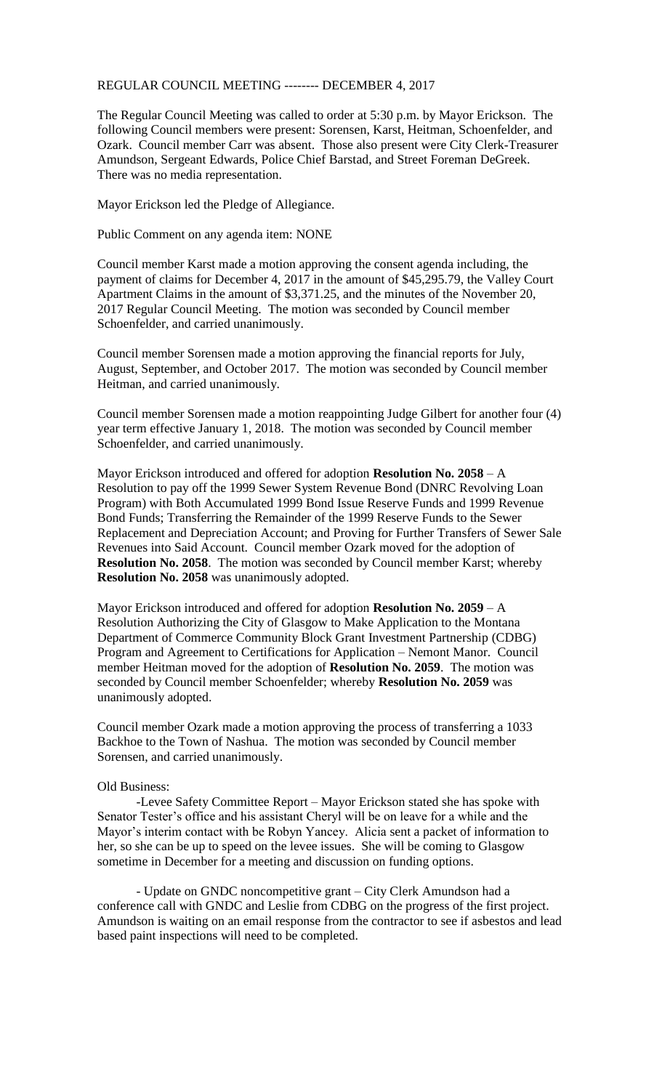## REGULAR COUNCIL MEETING -------- DECEMBER 4, 2017

The Regular Council Meeting was called to order at 5:30 p.m. by Mayor Erickson. The following Council members were present: Sorensen, Karst, Heitman, Schoenfelder, and Ozark. Council member Carr was absent. Those also present were City Clerk-Treasurer Amundson, Sergeant Edwards, Police Chief Barstad, and Street Foreman DeGreek. There was no media representation.

Mayor Erickson led the Pledge of Allegiance.

Public Comment on any agenda item: NONE

Council member Karst made a motion approving the consent agenda including, the payment of claims for December 4, 2017 in the amount of \$45,295.79, the Valley Court Apartment Claims in the amount of \$3,371.25, and the minutes of the November 20, 2017 Regular Council Meeting. The motion was seconded by Council member Schoenfelder, and carried unanimously.

Council member Sorensen made a motion approving the financial reports for July, August, September, and October 2017. The motion was seconded by Council member Heitman, and carried unanimously.

Council member Sorensen made a motion reappointing Judge Gilbert for another four (4) year term effective January 1, 2018. The motion was seconded by Council member Schoenfelder, and carried unanimously.

Mayor Erickson introduced and offered for adoption **Resolution No. 2058** – A Resolution to pay off the 1999 Sewer System Revenue Bond (DNRC Revolving Loan Program) with Both Accumulated 1999 Bond Issue Reserve Funds and 1999 Revenue Bond Funds; Transferring the Remainder of the 1999 Reserve Funds to the Sewer Replacement and Depreciation Account; and Proving for Further Transfers of Sewer Sale Revenues into Said Account. Council member Ozark moved for the adoption of **Resolution No. 2058**. The motion was seconded by Council member Karst; whereby **Resolution No. 2058** was unanimously adopted.

Mayor Erickson introduced and offered for adoption **Resolution No. 2059** – A Resolution Authorizing the City of Glasgow to Make Application to the Montana Department of Commerce Community Block Grant Investment Partnership (CDBG) Program and Agreement to Certifications for Application – Nemont Manor. Council member Heitman moved for the adoption of **Resolution No. 2059**. The motion was seconded by Council member Schoenfelder; whereby **Resolution No. 2059** was unanimously adopted.

Council member Ozark made a motion approving the process of transferring a 1033 Backhoe to the Town of Nashua. The motion was seconded by Council member Sorensen, and carried unanimously.

## Old Business:

-Levee Safety Committee Report – Mayor Erickson stated she has spoke with Senator Tester's office and his assistant Cheryl will be on leave for a while and the Mayor's interim contact with be Robyn Yancey. Alicia sent a packet of information to her, so she can be up to speed on the levee issues. She will be coming to Glasgow sometime in December for a meeting and discussion on funding options.

- Update on GNDC noncompetitive grant – City Clerk Amundson had a conference call with GNDC and Leslie from CDBG on the progress of the first project. Amundson is waiting on an email response from the contractor to see if asbestos and lead based paint inspections will need to be completed.